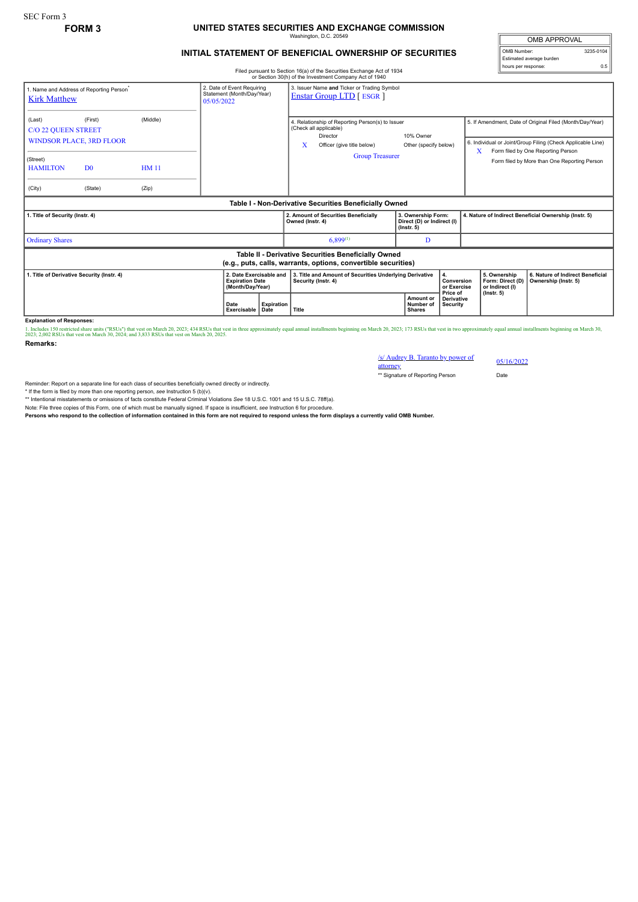## **FORM 3 UNITED STATES SECURITIES AND EXCHANGE COMMISSION** Washington, D.C. 20549

## **INITIAL STATEMENT OF BENEFICIAL OWNERSHIP OF SECURITIES**

Filed pursuant to Section 16(a) of the Securities Exchange Act of 1934 or Section 30(h) of the Investment Company Act of 1940

OMB APPROVAL OMB Number: 3235-0104 Estimated average burden hours per response: 0.5

|                                                                               |                                                                         |                                                                                                                                    |  |                                                                                                                           |                                      | of Section 30(ii) of the investment Company ACt of 1940                                                                                        |                                    |                                                                                                                         |  |                                                                         |                                                                                                                                                                                                               |
|-------------------------------------------------------------------------------|-------------------------------------------------------------------------|------------------------------------------------------------------------------------------------------------------------------------|--|---------------------------------------------------------------------------------------------------------------------------|--------------------------------------|------------------------------------------------------------------------------------------------------------------------------------------------|------------------------------------|-------------------------------------------------------------------------------------------------------------------------|--|-------------------------------------------------------------------------|---------------------------------------------------------------------------------------------------------------------------------------------------------------------------------------------------------------|
| 1. Name and Address of Reporting Person <sup>®</sup><br><b>Kirk Matthew</b>   | 05/05/2022                                                              | 2. Date of Event Requiring<br>3. Issuer Name and Ticker or Trading Symbol<br>Statement (Month/Day/Year)<br>Enstar Group LTD [ESGR] |  |                                                                                                                           |                                      |                                                                                                                                                |                                    |                                                                                                                         |  |                                                                         |                                                                                                                                                                                                               |
| (Last)<br><b>C/O 22 QUEEN STREET</b><br>(Street)<br><b>HAMILTON</b><br>(City) | (First)<br><b>WINDSOR PLACE, 3RD FLOOR</b><br>D <sub>0</sub><br>(State) | (Middle)<br><b>HM11</b><br>(Zip)                                                                                                   |  |                                                                                                                           | X                                    | 4. Relationship of Reporting Person(s) to Issuer<br>(Check all applicable)<br>Director<br>Officer (give title below)<br><b>Group Treasurer</b> | 10% Owner<br>Other (specify below) |                                                                                                                         |  | X                                                                       | 5. If Amendment, Date of Original Filed (Month/Day/Year)<br>6. Individual or Joint/Group Filing (Check Applicable Line)<br>Form filed by One Reporting Person<br>Form filed by More than One Reporting Person |
|                                                                               |                                                                         |                                                                                                                                    |  |                                                                                                                           |                                      | Table I - Non-Derivative Securities Beneficially Owned                                                                                         |                                    |                                                                                                                         |  |                                                                         |                                                                                                                                                                                                               |
| 1. Title of Security (Instr. 4)                                               |                                                                         |                                                                                                                                    |  | Owned (Instr. 4)                                                                                                          | 2. Amount of Securities Beneficially | 3. Ownership Form:<br>Direct (D) or Indirect (I)<br>$($ lnstr. 5 $)$                                                                           |                                    | 4. Nature of Indirect Beneficial Ownership (Instr. 5)                                                                   |  |                                                                         |                                                                                                                                                                                                               |
| <b>Ordinary Shares</b>                                                        |                                                                         |                                                                                                                                    |  |                                                                                                                           |                                      | $6,899^{(1)}$                                                                                                                                  | D                                  |                                                                                                                         |  |                                                                         |                                                                                                                                                                                                               |
|                                                                               |                                                                         |                                                                                                                                    |  |                                                                                                                           |                                      | Table II - Derivative Securities Beneficially Owned<br>(e.g., puts, calls, warrants, options, convertible securities)                          |                                    |                                                                                                                         |  |                                                                         |                                                                                                                                                                                                               |
| 1. Title of Derivative Security (Instr. 4)                                    |                                                                         |                                                                                                                                    |  | 2. Date Exercisable and<br><b>Expiration Date</b><br>(Month/Day/Year)<br><b>Expiration</b><br>Date<br>Exercisable<br>Date |                                      | 3. Title and Amount of Securities Underlying Derivative<br>Security (Instr. 4)<br>Title                                                        |                                    | 4.<br>Conversion<br>or Exercise<br>Price of<br>Amount or<br><b>Derivative</b><br>Number of<br>Security<br><b>Shares</b> |  | 5. Ownership<br>Form: Direct (D)<br>or Indirect (I)<br>$($ lnstr. 5 $)$ | 6. Nature of Indirect Beneficial<br>Ownership (Instr. 5)                                                                                                                                                      |

**Explanation of Responses:**

1. Includes 150 restricted share units ("RSUs") that vest on March 20, 2023; 434 RSUs that vest in three approximately equal annual installments beginning on March 20, 2023; 173 RSUs that vest in two approximately equal an

**Remarks:**

/s/ Audrey B. Taranto by power of attorney 05/16/2022 \*\* Signature of Reporting Person Date

Reminder: Report on a separate line for each class of securities beneficially owned directly or indirectly.

\* If the form is filed by more than one reporting person, *see* Instruction 5 (b)(v).

\*\* Intentional misstatements or omissions of facts constitute Federal Criminal Violations *See* 18 U.S.C. 1001 and 15 U.S.C. 78ff(a).

Note: File three copies of this Form, one of which must be manually signed. If space is insufficient, see Instruction 6 for procedure.<br>Persons who respond to the collection of information contained in this form are not req